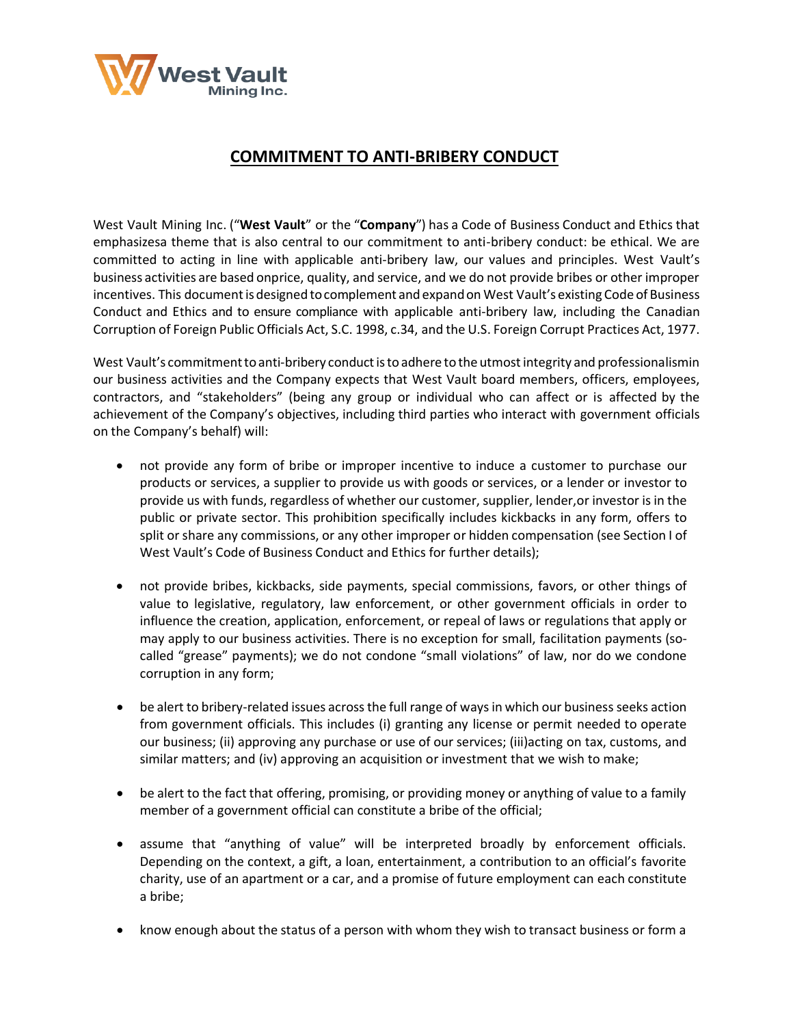

## **COMMITMENT TO ANTI-BRIBERY CONDUCT**

West Vault Mining Inc. ("**West Vault**" or the "**Company**") has a Code of Business Conduct and Ethics that emphasizesa theme that is also central to our commitment to anti-bribery conduct: be ethical. We are committed to acting in line with applicable anti-bribery law, our values and principles. West Vault's business activities are based onprice, quality, and service, and we do not provide bribes or other improper incentives. This documentis designed tocomplement and expandon West Vault's existing Code of Business Conduct and Ethics and to ensure compliance with applicable anti-bribery law, including the Canadian Corruption of Foreign Public Officials Act, S.C. 1998, c.34, and the U.S. Foreign Corrupt Practices Act, 1977.

West Vault's commitment to anti-bribery conduct is to adhere to the utmost integrity and professionalismin our business activities and the Company expects that West Vault board members, officers, employees, contractors, and "stakeholders" (being any group or individual who can affect or is affected by the achievement of the Company's objectives, including third parties who interact with government officials on the Company's behalf) will:

- not provide any form of bribe or improper incentive to induce a customer to purchase our products or services, a supplier to provide us with goods or services, or a lender or investor to provide us with funds, regardless of whether our customer, supplier, lender,or investor is in the public or private sector. This prohibition specifically includes kickbacks in any form, offers to split or share any commissions, or any other improper or hidden compensation (see Section I of West Vault's Code of Business Conduct and Ethics for further details);
- not provide bribes, kickbacks, side payments, special commissions, favors, or other things of value to legislative, regulatory, law enforcement, or other government officials in order to influence the creation, application, enforcement, or repeal of laws or regulations that apply or may apply to our business activities. There is no exception for small, facilitation payments (socalled "grease" payments); we do not condone "small violations" of law, nor do we condone corruption in any form;
- be alert to bribery-related issues across the full range of ways in which our business seeks action from government officials. This includes (i) granting any license or permit needed to operate our business; (ii) approving any purchase or use of our services; (iii)acting on tax, customs, and similar matters; and (iv) approving an acquisition or investment that we wish to make;
- be alert to the fact that offering, promising, or providing money or anything of value to a family member of a government official can constitute a bribe of the official;
- assume that "anything of value" will be interpreted broadly by enforcement officials. Depending on the context, a gift, a loan, entertainment, a contribution to an official's favorite charity, use of an apartment or a car, and a promise of future employment can each constitute a bribe;
- know enough about the status of a person with whom they wish to transact business or form a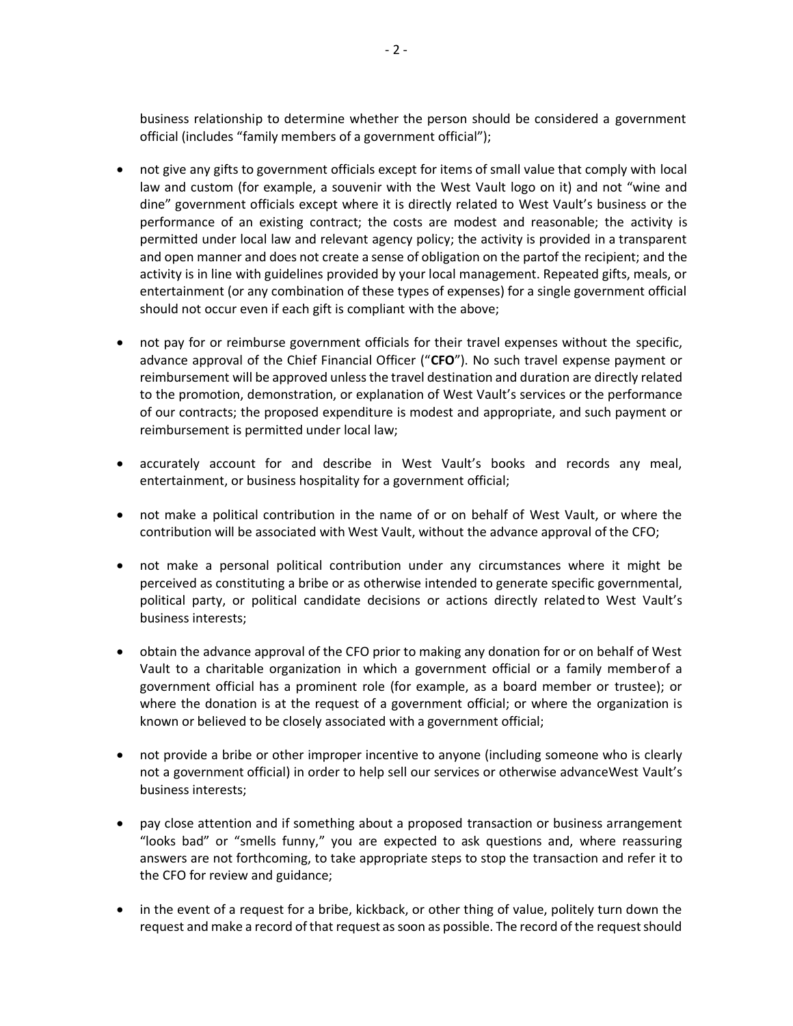business relationship to determine whether the person should be considered a government official (includes "family members of a government official");

- not give any gifts to government officials except for items of small value that comply with local law and custom (for example, a souvenir with the West Vault logo on it) and not "wine and dine" government officials except where it is directly related to West Vault's business or the performance of an existing contract; the costs are modest and reasonable; the activity is permitted under local law and relevant agency policy; the activity is provided in a transparent and open manner and does not create a sense of obligation on the partof the recipient; and the activity is in line with guidelines provided by your local management. Repeated gifts, meals, or entertainment (or any combination of these types of expenses) for a single government official should not occur even if each gift is compliant with the above;
- not pay for or reimburse government officials for their travel expenses without the specific, advance approval of the Chief Financial Officer ("**CFO**"). No such travel expense payment or reimbursement will be approved unless the travel destination and duration are directly related to the promotion, demonstration, or explanation of West Vault's services or the performance of our contracts; the proposed expenditure is modest and appropriate, and such payment or reimbursement is permitted under local law;
- accurately account for and describe in West Vault's books and records any meal, entertainment, or business hospitality for a government official;
- not make a political contribution in the name of or on behalf of West Vault, or where the contribution will be associated with West Vault, without the advance approval of the CFO;
- not make a personal political contribution under any circumstances where it might be perceived as constituting a bribe or as otherwise intended to generate specific governmental, political party, or political candidate decisions or actions directly related to West Vault's business interests;
- obtain the advance approval of the CFO prior to making any donation for or on behalf of West Vault to a charitable organization in which a government official or a family memberof a government official has a prominent role (for example, as a board member or trustee); or where the donation is at the request of a government official; or where the organization is known or believed to be closely associated with a government official;
- not provide a bribe or other improper incentive to anyone (including someone who is clearly not a government official) in order to help sell our services or otherwise advanceWest Vault's business interests;
- pay close attention and if something about a proposed transaction or business arrangement "looks bad" or "smells funny," you are expected to ask questions and, where reassuring answers are not forthcoming, to take appropriate steps to stop the transaction and refer it to the CFO for review and guidance;
- in the event of a request for a bribe, kickback, or other thing of value, politely turn down the request and make a record of that request as soon as possible. The record of the request should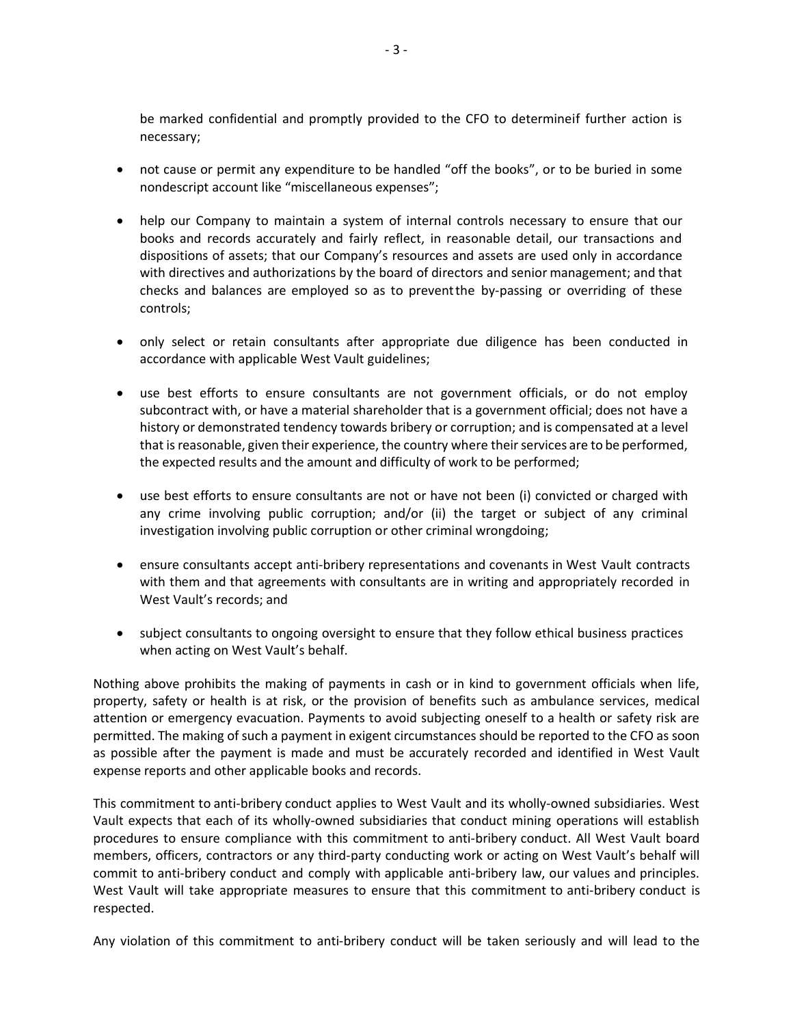be marked confidential and promptly provided to the CFO to determineif further action is necessary;

- not cause or permit any expenditure to be handled "off the books", or to be buried in some nondescript account like "miscellaneous expenses";
- help our Company to maintain a system of internal controls necessary to ensure that our books and records accurately and fairly reflect, in reasonable detail, our transactions and dispositions of assets; that our Company's resources and assets are used only in accordance with directives and authorizations by the board of directors and senior management; and that checks and balances are employed so as to preventthe by-passing or overriding of these controls;
- only select or retain consultants after appropriate due diligence has been conducted in accordance with applicable West Vault guidelines;
- use best efforts to ensure consultants are not government officials, or do not employ subcontract with, or have a material shareholder that is a government official; does not have a history or demonstrated tendency towards bribery or corruption; and is compensated at a level that is reasonable, given their experience, the country where their services are to be performed, the expected results and the amount and difficulty of work to be performed;
- use best efforts to ensure consultants are not or have not been (i) convicted or charged with any crime involving public corruption; and/or (ii) the target or subject of any criminal investigation involving public corruption or other criminal wrongdoing;
- ensure consultants accept anti-bribery representations and covenants in West Vault contracts with them and that agreements with consultants are in writing and appropriately recorded in West Vault's records; and
- subject consultants to ongoing oversight to ensure that they follow ethical business practices when acting on West Vault's behalf.

Nothing above prohibits the making of payments in cash or in kind to government officials when life, property, safety or health is at risk, or the provision of benefits such as ambulance services, medical attention or emergency evacuation. Payments to avoid subjecting oneself to a health or safety risk are permitted. The making of such a payment in exigent circumstances should be reported to the CFO as soon as possible after the payment is made and must be accurately recorded and identified in West Vault expense reports and other applicable books and records.

This commitment to anti-bribery conduct applies to West Vault and its wholly-owned subsidiaries. West Vault expects that each of its wholly-owned subsidiaries that conduct mining operations will establish procedures to ensure compliance with this commitment to anti-bribery conduct. All West Vault board members, officers, contractors or any third-party conducting work or acting on West Vault's behalf will commit to anti-bribery conduct and comply with applicable anti-bribery law, our values and principles. West Vault will take appropriate measures to ensure that this commitment to anti-bribery conduct is respected.

Any violation of this commitment to anti-bribery conduct will be taken seriously and will lead to the